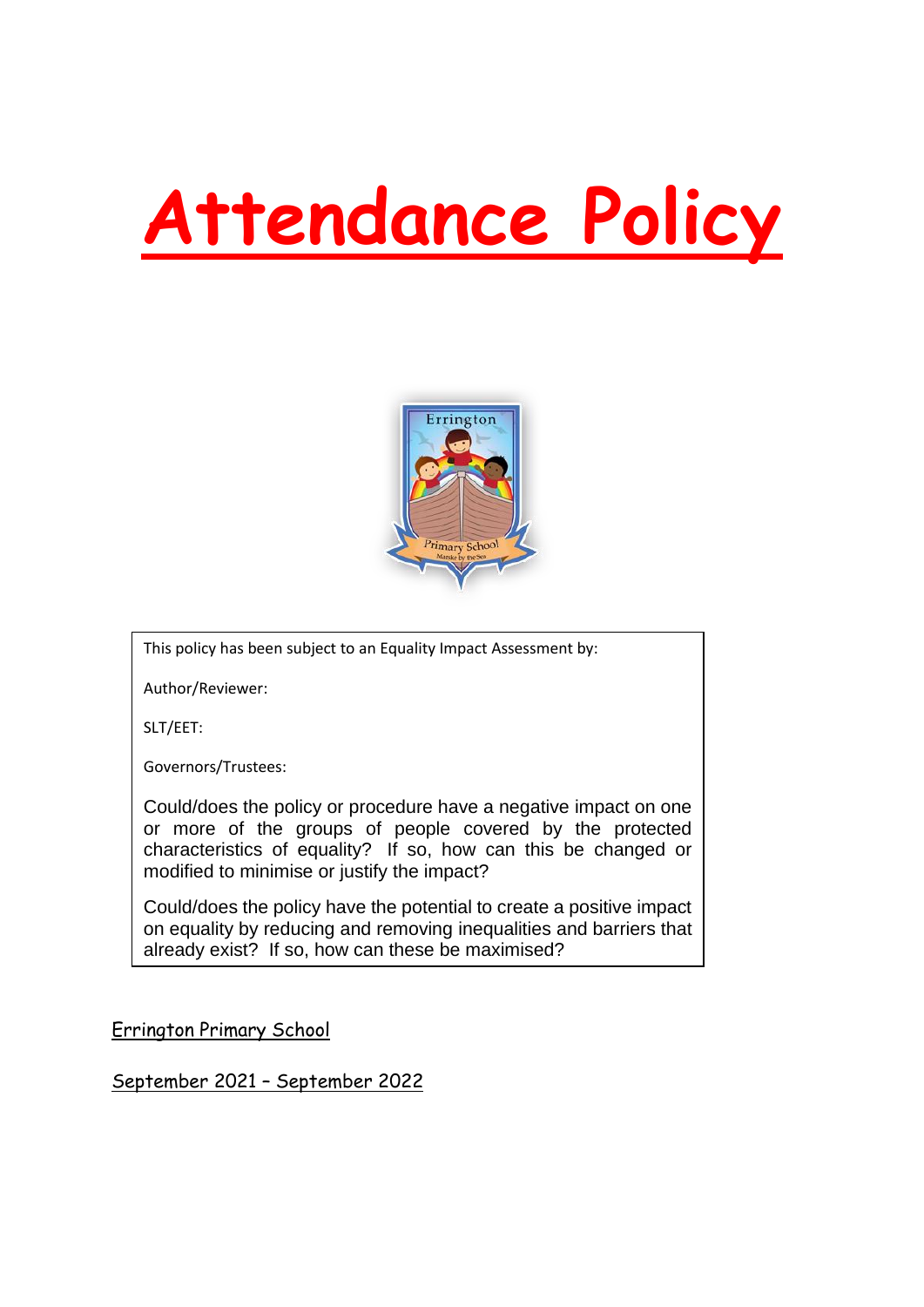# **Attendance Policy**



This policy has been subject to an Equality Impact Assessment by:

Author/Reviewer:

SLT/EET:

Governors/Trustees:

Could/does the policy or procedure have a negative impact on one or more of the groups of people covered by the protected characteristics of equality? If so, how can this be changed or modified to minimise or justify the impact?

Could/does the policy have the potential to create a positive impact on equality by reducing and removing inequalities and barriers that already exist? If so, how can these be maximised?

Errington Primary School

September 2021 – September 2022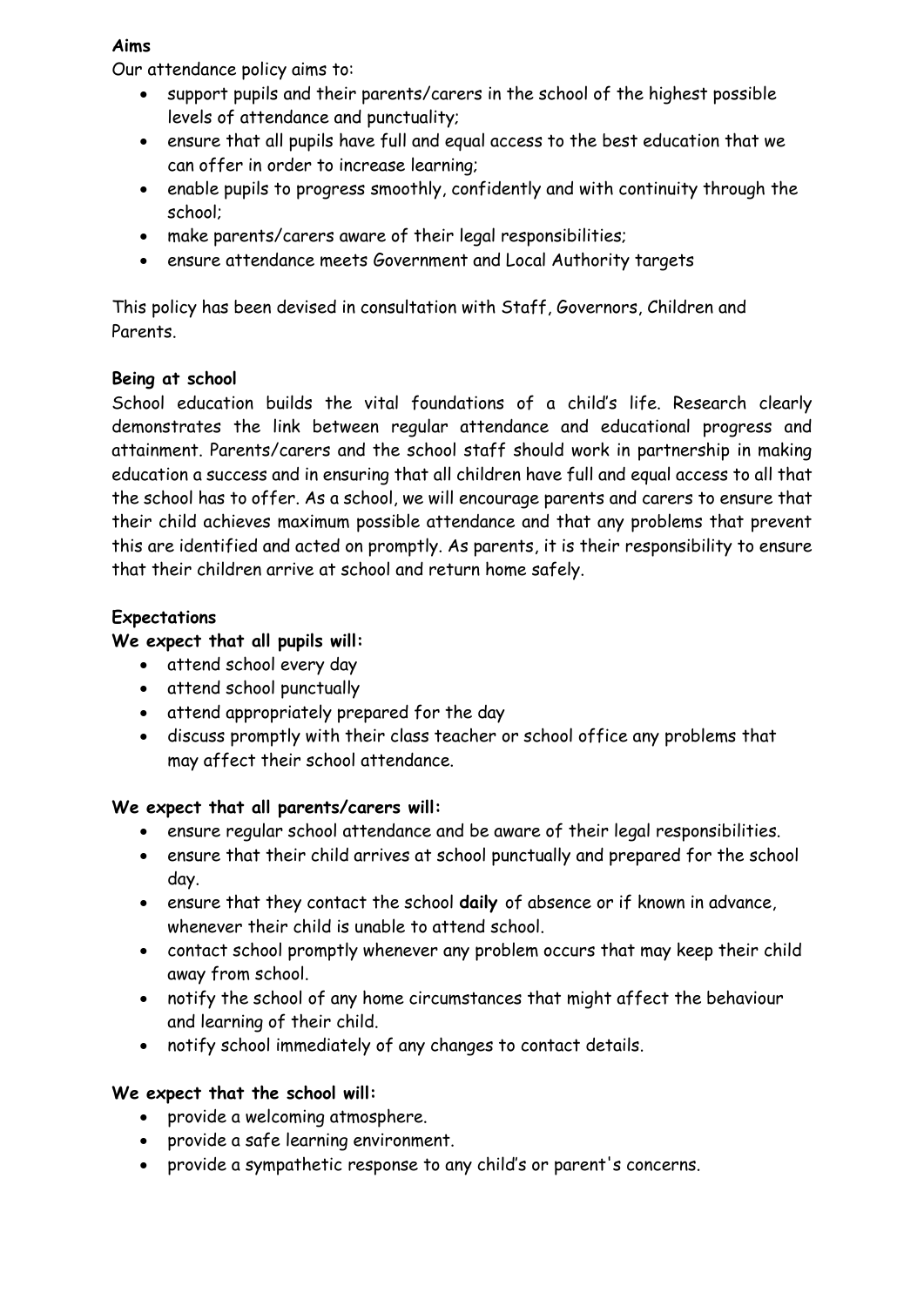#### **Aims**

Our attendance policy aims to:

- support pupils and their parents/carers in the school of the highest possible levels of attendance and punctuality;
- ensure that all pupils have full and equal access to the best education that we can offer in order to increase learning;
- enable pupils to progress smoothly, confidently and with continuity through the school;
- make parents/carers aware of their legal responsibilities;
- ensure attendance meets Government and Local Authority targets

This policy has been devised in consultation with Staff, Governors, Children and Parents.

#### **Being at school**

School education builds the vital foundations of a child's life. Research clearly demonstrates the link between regular attendance and educational progress and attainment. Parents/carers and the school staff should work in partnership in making education a success and in ensuring that all children have full and equal access to all that the school has to offer. As a school, we will encourage parents and carers to ensure that their child achieves maximum possible attendance and that any problems that prevent this are identified and acted on promptly. As parents, it is their responsibility to ensure that their children arrive at school and return home safely.

# **Expectations**

#### **We expect that all pupils will:**

- attend school every day
- attend school punctually
- attend appropriately prepared for the day
- discuss promptly with their class teacher or school office any problems that may affect their school attendance.

#### **We expect that all parents/carers will:**

- ensure regular school attendance and be aware of their legal responsibilities.
- ensure that their child arrives at school punctually and prepared for the school day.
- ensure that they contact the school **daily** of absence or if known in advance, whenever their child is unable to attend school.
- contact school promptly whenever any problem occurs that may keep their child away from school.
- notify the school of any home circumstances that might affect the behaviour and learning of their child.
- notify school immediately of any changes to contact details.

# **We expect that the school will:**

- provide a welcoming atmosphere.
- provide a safe learning environment.
- provide a sympathetic response to any child's or parent's concerns.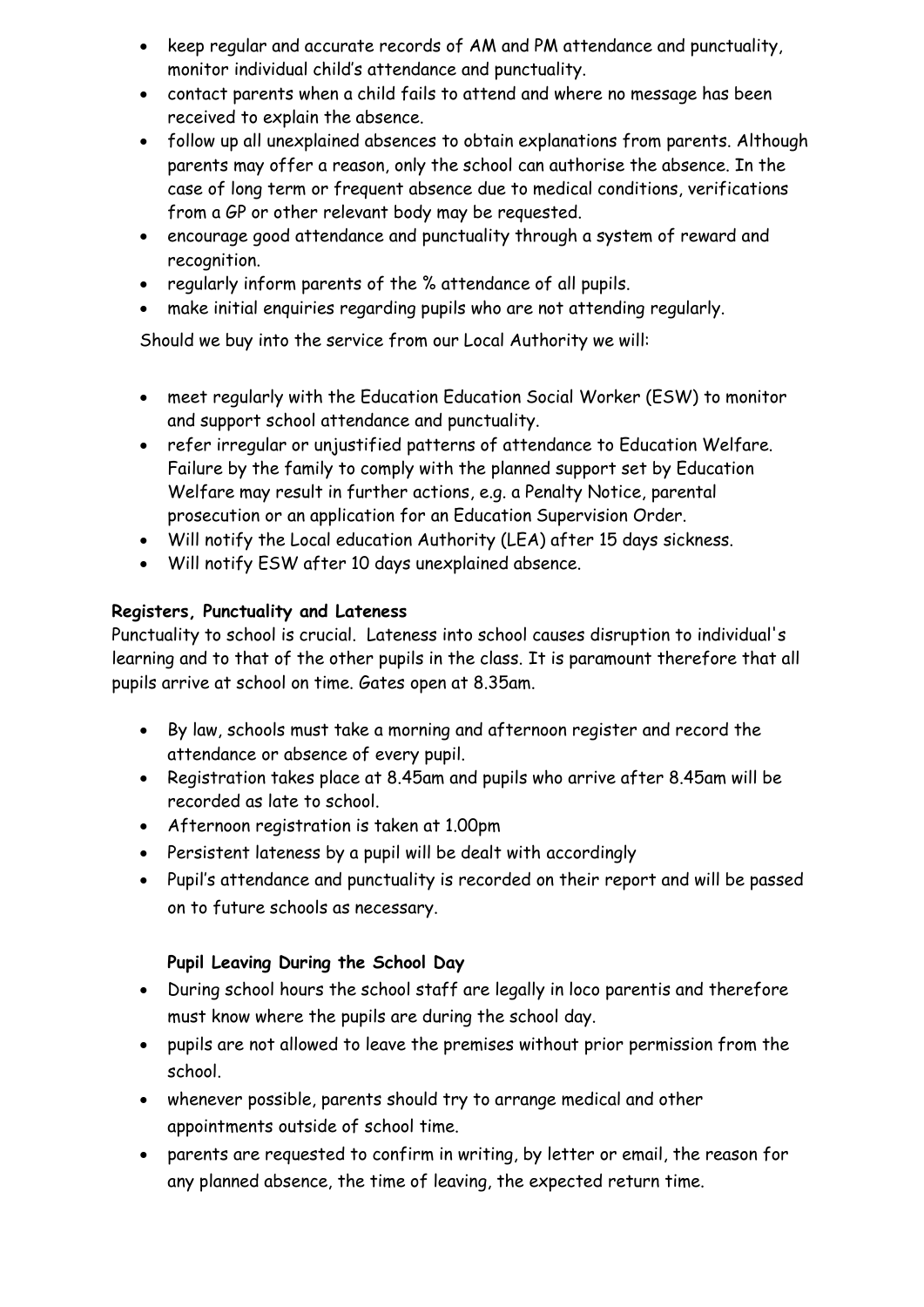- keep regular and accurate records of AM and PM attendance and punctuality, monitor individual child's attendance and punctuality.
- contact parents when a child fails to attend and where no message has been received to explain the absence.
- follow up all unexplained absences to obtain explanations from parents. Although parents may offer a reason, only the school can authorise the absence. In the case of long term or frequent absence due to medical conditions, verifications from a GP or other relevant body may be requested.
- encourage good attendance and punctuality through a system of reward and recognition.
- regularly inform parents of the % attendance of all pupils.
- make initial enquiries regarding pupils who are not attending regularly.

Should we buy into the service from our Local Authority we will:

- meet regularly with the Education Education Social Worker (ESW) to monitor and support school attendance and punctuality.
- refer irregular or unjustified patterns of attendance to Education Welfare. Failure by the family to comply with the planned support set by Education Welfare may result in further actions, e.g. a Penalty Notice, parental prosecution or an application for an Education Supervision Order.
- Will notify the Local education Authority (LEA) after 15 days sickness.
- Will notify ESW after 10 days unexplained absence.

# **Registers, Punctuality and Lateness**

Punctuality to school is crucial. Lateness into school causes disruption to individual's learning and to that of the other pupils in the class. It is paramount therefore that all pupils arrive at school on time. Gates open at 8.35am.

- By law, schools must take a morning and afternoon register and record the attendance or absence of every pupil.
- Registration takes place at 8.45am and pupils who arrive after 8.45am will be recorded as late to school.
- Afternoon registration is taken at 1.00pm
- Persistent lateness by a pupil will be dealt with accordingly
- Pupil's attendance and punctuality is recorded on their report and will be passed on to future schools as necessary.

# **Pupil Leaving During the School Day**

- During school hours the school staff are legally in loco parentis and therefore must know where the pupils are during the school day.
- pupils are not allowed to leave the premises without prior permission from the school.
- whenever possible, parents should try to arrange medical and other appointments outside of school time.
- parents are requested to confirm in writing, by letter or email, the reason for any planned absence, the time of leaving, the expected return time.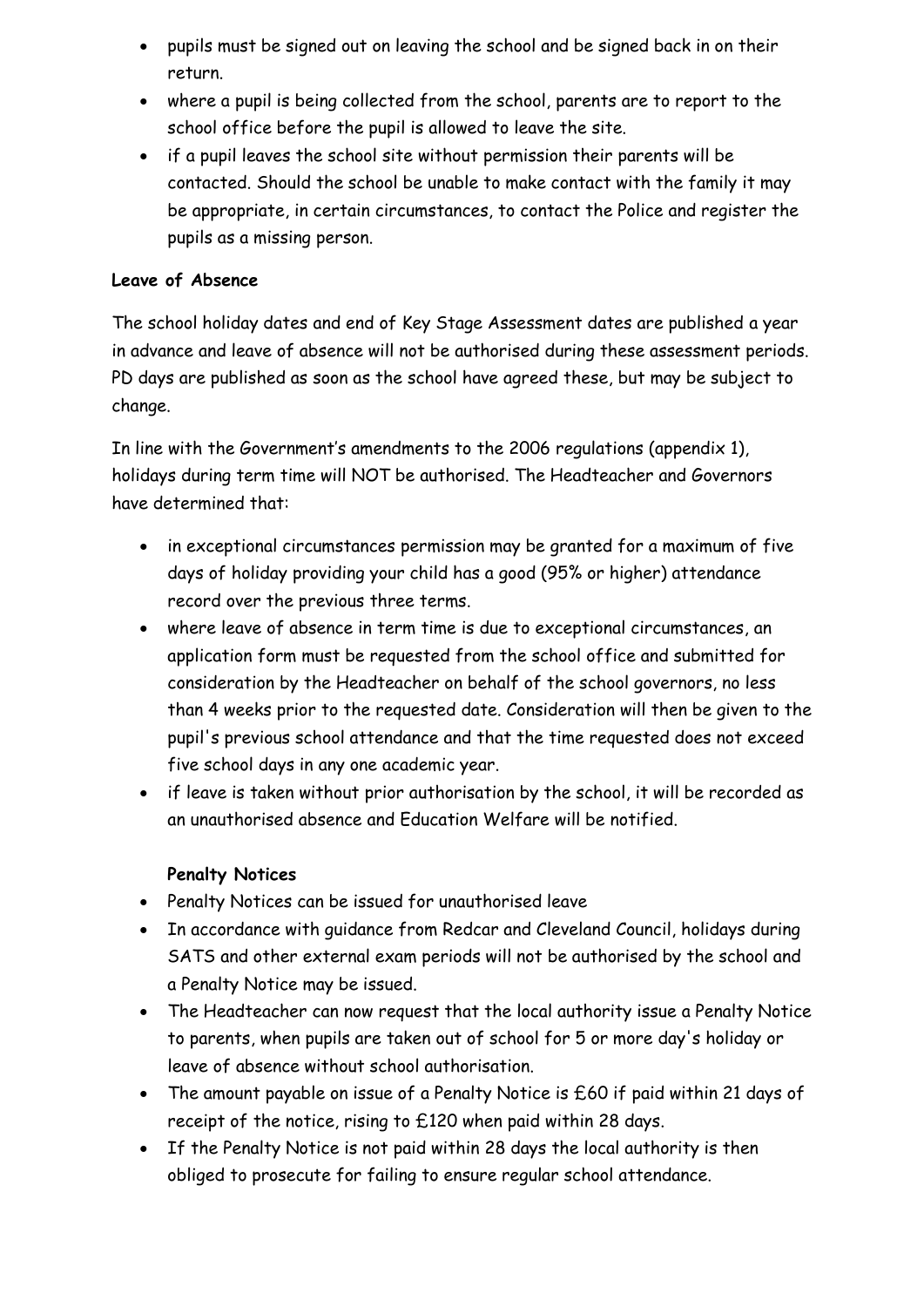- pupils must be signed out on leaving the school and be signed back in on their return.
- where a pupil is being collected from the school, parents are to report to the school office before the pupil is allowed to leave the site.
- if a pupil leaves the school site without permission their parents will be contacted. Should the school be unable to make contact with the family it may be appropriate, in certain circumstances, to contact the Police and register the pupils as a missing person.

#### **Leave of Absence**

The school holiday dates and end of Key Stage Assessment dates are published a year in advance and leave of absence will not be authorised during these assessment periods. PD days are published as soon as the school have agreed these, but may be subject to change.

In line with the Government's amendments to the 2006 regulations (appendix 1), holidays during term time will NOT be authorised. The Headteacher and Governors have determined that:

- in exceptional circumstances permission may be granted for a maximum of five days of holiday providing your child has a good (95% or higher) attendance record over the previous three terms.
- where leave of absence in term time is due to exceptional circumstances, an application form must be requested from the school office and submitted for consideration by the Headteacher on behalf of the school governors, no less than 4 weeks prior to the requested date. Consideration will then be given to the pupil's previous school attendance and that the time requested does not exceed five school days in any one academic year.
- if leave is taken without prior authorisation by the school, it will be recorded as an unauthorised absence and Education Welfare will be notified.

#### **Penalty Notices**

- Penalty Notices can be issued for unauthorised leave
- In accordance with guidance from Redcar and Cleveland Council, holidays during SATS and other external exam periods will not be authorised by the school and a Penalty Notice may be issued.
- The Headteacher can now request that the local authority issue a Penalty Notice to parents, when pupils are taken out of school for 5 or more day's holiday or leave of absence without school authorisation.
- The amount payable on issue of a Penalty Notice is £60 if paid within 21 days of receipt of the notice, rising to £120 when paid within 28 days.
- If the Penalty Notice is not paid within 28 days the local authority is then obliged to prosecute for failing to ensure regular school attendance.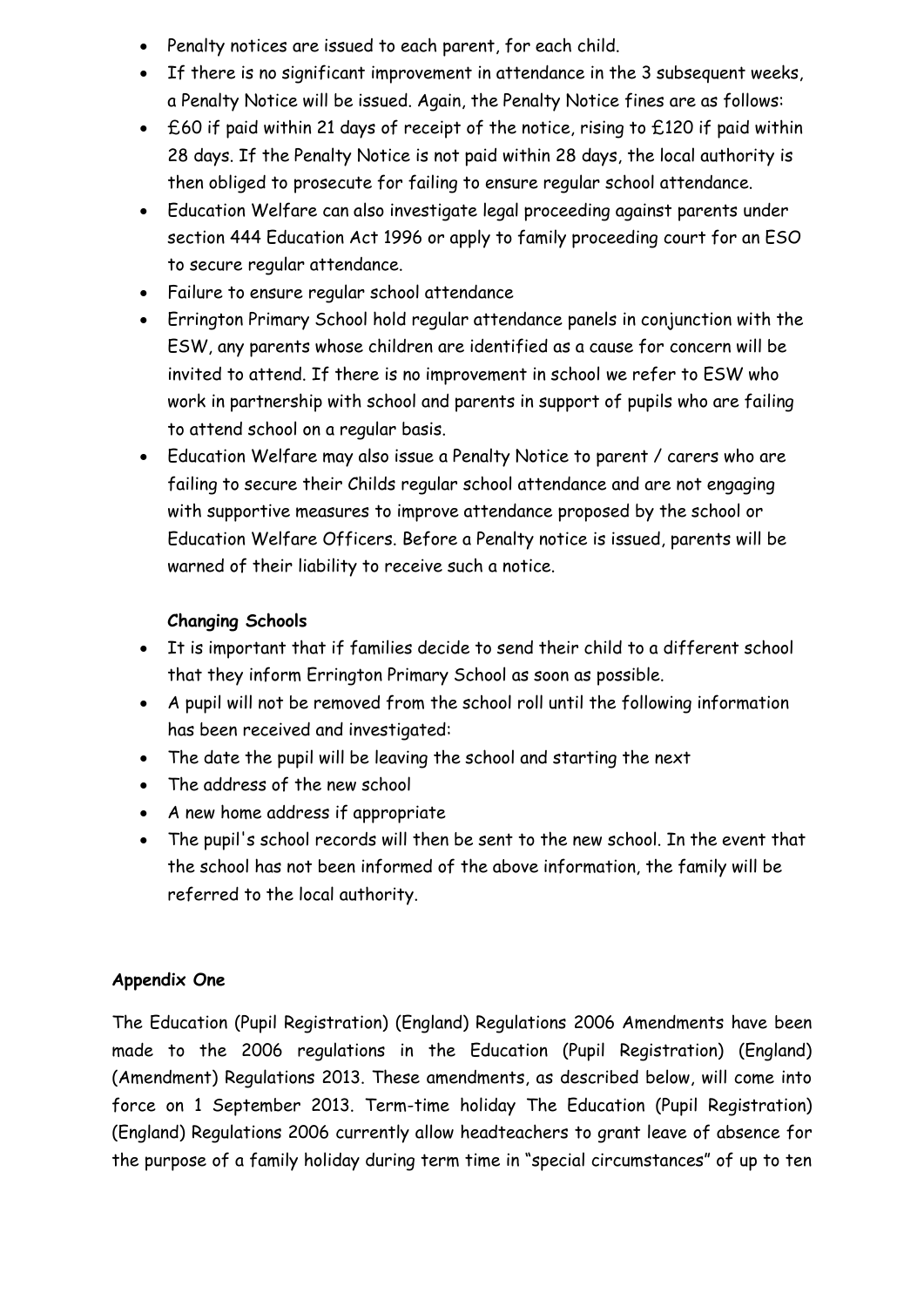- Penalty notices are issued to each parent, for each child.
- If there is no significant improvement in attendance in the 3 subsequent weeks, a Penalty Notice will be issued. Again, the Penalty Notice fines are as follows:
- £60 if paid within 21 days of receipt of the notice, rising to £120 if paid within 28 days. If the Penalty Notice is not paid within 28 days, the local authority is then obliged to prosecute for failing to ensure regular school attendance.
- Education Welfare can also investigate legal proceeding against parents under section 444 Education Act 1996 or apply to family proceeding court for an ESO to secure regular attendance.
- Failure to ensure regular school attendance
- Errington Primary School hold regular attendance panels in conjunction with the ESW, any parents whose children are identified as a cause for concern will be invited to attend. If there is no improvement in school we refer to ESW who work in partnership with school and parents in support of pupils who are failing to attend school on a regular basis.
- Education Welfare may also issue a Penalty Notice to parent / carers who are failing to secure their Childs regular school attendance and are not engaging with supportive measures to improve attendance proposed by the school or Education Welfare Officers. Before a Penalty notice is issued, parents will be warned of their liability to receive such a notice.

#### **Changing Schools**

- It is important that if families decide to send their child to a different school that they inform Errington Primary School as soon as possible.
- A pupil will not be removed from the school roll until the following information has been received and investigated:
- The date the pupil will be leaving the school and starting the next
- The address of the new school
- A new home address if appropriate
- The pupil's school records will then be sent to the new school. In the event that the school has not been informed of the above information, the family will be referred to the local authority.

# **Appendix One**

The Education (Pupil Registration) (England) Regulations 2006 Amendments have been made to the 2006 regulations in the Education (Pupil Registration) (England) (Amendment) Regulations 2013. These amendments, as described below, will come into force on 1 September 2013. Term-time holiday The Education (Pupil Registration) (England) Regulations 2006 currently allow headteachers to grant leave of absence for the purpose of a family holiday during term time in "special circumstances" of up to ten